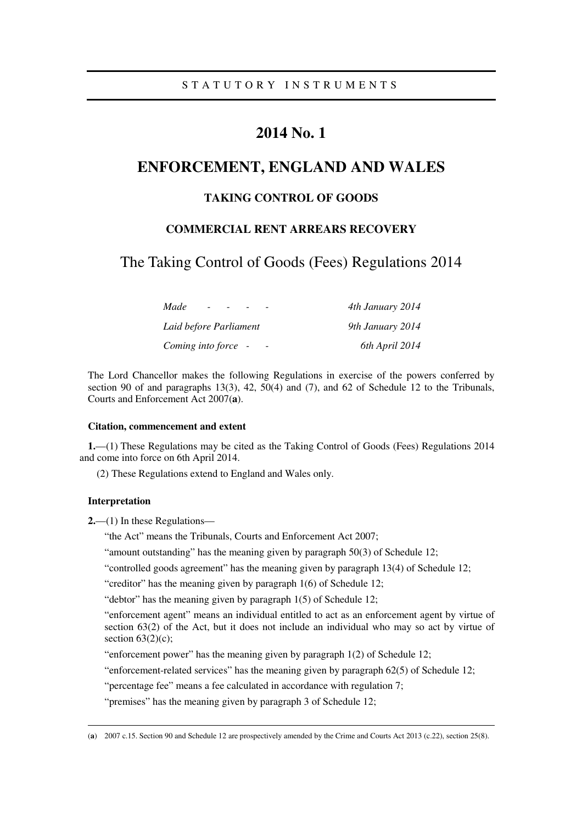# **2014 No. 1**

# **ENFORCEMENT, ENGLAND AND WALES**

## **TAKING CONTROL OF GOODS**

## **COMMERCIAL RENT ARREARS RECOVERY**

The Taking Control of Goods (Fees) Regulations 2014

| Made<br>$\overline{\phantom{a}}$ | 4th January 2014 |
|----------------------------------|------------------|
| Laid before Parliament           | 9th January 2014 |
| Coming into force -              | 6th April 2014   |

The Lord Chancellor makes the following Regulations in exercise of the powers conferred by section 90 of and paragraphs 13(3), 42, 50(4) and (7), and 62 of Schedule 12 to the Tribunals, Courts and Enforcement Act 2007(**a**).

#### **Citation, commencement and extent**

**1.**—(1) These Regulations may be cited as the Taking Control of Goods (Fees) Regulations 2014 and come into force on 6th April 2014.

(2) These Regulations extend to England and Wales only.

### **Interpretation**

<u>.</u>

**2.**—(1) In these Regulations—

"the Act" means the Tribunals, Courts and Enforcement Act 2007;

"amount outstanding" has the meaning given by paragraph 50(3) of Schedule 12;

"controlled goods agreement" has the meaning given by paragraph 13(4) of Schedule 12;

"creditor" has the meaning given by paragraph 1(6) of Schedule 12;

"debtor" has the meaning given by paragraph 1(5) of Schedule 12;

"enforcement agent" means an individual entitled to act as an enforcement agent by virtue of section 63(2) of the Act, but it does not include an individual who may so act by virtue of section  $63(2)(c)$ ;

"enforcement power" has the meaning given by paragraph 1(2) of Schedule 12;

"enforcement-related services" has the meaning given by paragraph 62(5) of Schedule 12;

"percentage fee" means a fee calculated in accordance with regulation 7;

"premises" has the meaning given by paragraph 3 of Schedule 12;

<sup>(</sup>**a**) 2007 c.15. Section 90 and Schedule 12 are prospectively amended by the Crime and Courts Act 2013 (c.22), section 25(8).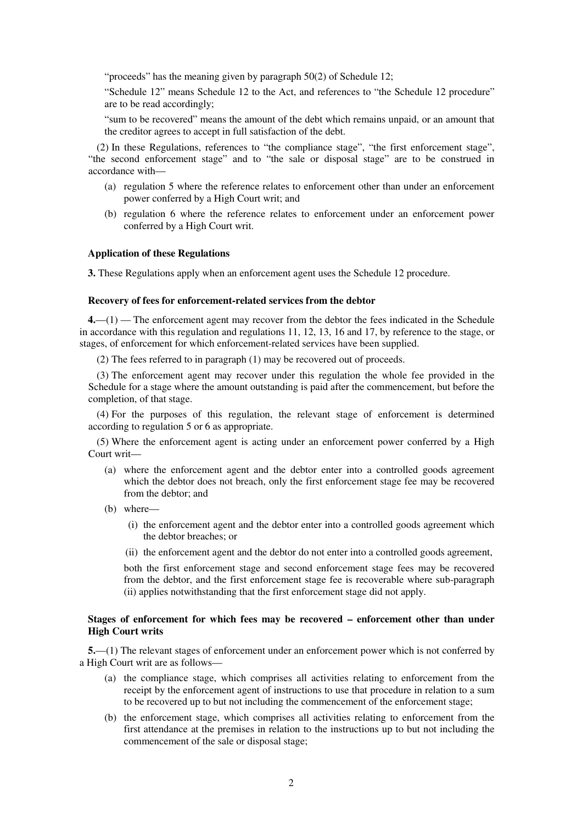"proceeds" has the meaning given by paragraph 50(2) of Schedule 12;

"Schedule 12" means Schedule 12 to the Act, and references to "the Schedule 12 procedure" are to be read accordingly;

"sum to be recovered" means the amount of the debt which remains unpaid, or an amount that the creditor agrees to accept in full satisfaction of the debt.

(2) In these Regulations, references to "the compliance stage", "the first enforcement stage", "the second enforcement stage" and to "the sale or disposal stage" are to be construed in accordance with—

- (a) regulation 5 where the reference relates to enforcement other than under an enforcement power conferred by a High Court writ; and
- (b) regulation 6 where the reference relates to enforcement under an enforcement power conferred by a High Court writ.

#### **Application of these Regulations**

**3.** These Regulations apply when an enforcement agent uses the Schedule 12 procedure.

#### **Recovery of fees for enforcement-related services from the debtor**

**4.**—(1) — The enforcement agent may recover from the debtor the fees indicated in the Schedule in accordance with this regulation and regulations 11, 12, 13, 16 and 17, by reference to the stage, or stages, of enforcement for which enforcement-related services have been supplied.

(2) The fees referred to in paragraph (1) may be recovered out of proceeds.

(3) The enforcement agent may recover under this regulation the whole fee provided in the Schedule for a stage where the amount outstanding is paid after the commencement, but before the completion, of that stage.

(4) For the purposes of this regulation, the relevant stage of enforcement is determined according to regulation 5 or 6 as appropriate.

(5) Where the enforcement agent is acting under an enforcement power conferred by a High Court writ—

- (a) where the enforcement agent and the debtor enter into a controlled goods agreement which the debtor does not breach, only the first enforcement stage fee may be recovered from the debtor; and
- (b) where—
	- (i) the enforcement agent and the debtor enter into a controlled goods agreement which the debtor breaches; or
	- (ii) the enforcement agent and the debtor do not enter into a controlled goods agreement,

both the first enforcement stage and second enforcement stage fees may be recovered from the debtor, and the first enforcement stage fee is recoverable where sub-paragraph (ii) applies notwithstanding that the first enforcement stage did not apply.

#### **Stages of enforcement for which fees may be recovered – enforcement other than under High Court writs**

**5.**—(1) The relevant stages of enforcement under an enforcement power which is not conferred by a High Court writ are as follows—

- (a) the compliance stage, which comprises all activities relating to enforcement from the receipt by the enforcement agent of instructions to use that procedure in relation to a sum to be recovered up to but not including the commencement of the enforcement stage;
- (b) the enforcement stage, which comprises all activities relating to enforcement from the first attendance at the premises in relation to the instructions up to but not including the commencement of the sale or disposal stage;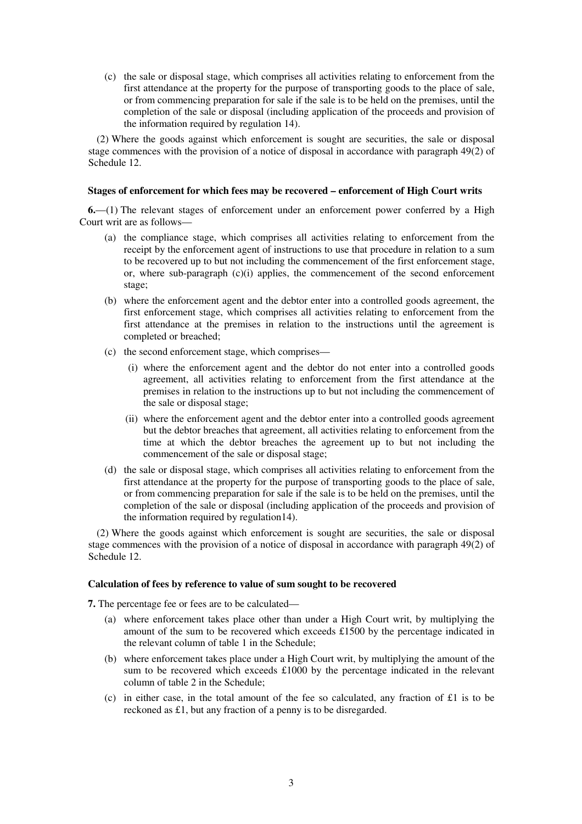(c) the sale or disposal stage, which comprises all activities relating to enforcement from the first attendance at the property for the purpose of transporting goods to the place of sale, or from commencing preparation for sale if the sale is to be held on the premises, until the completion of the sale or disposal (including application of the proceeds and provision of the information required by regulation 14).

(2) Where the goods against which enforcement is sought are securities, the sale or disposal stage commences with the provision of a notice of disposal in accordance with paragraph 49(2) of Schedule 12.

#### **Stages of enforcement for which fees may be recovered – enforcement of High Court writs**

**6.**—(1) The relevant stages of enforcement under an enforcement power conferred by a High Court writ are as follows—

- (a) the compliance stage, which comprises all activities relating to enforcement from the receipt by the enforcement agent of instructions to use that procedure in relation to a sum to be recovered up to but not including the commencement of the first enforcement stage, or, where sub-paragraph  $(c)(i)$  applies, the commencement of the second enforcement stage:
- (b) where the enforcement agent and the debtor enter into a controlled goods agreement, the first enforcement stage, which comprises all activities relating to enforcement from the first attendance at the premises in relation to the instructions until the agreement is completed or breached;
- (c) the second enforcement stage, which comprises—
	- (i) where the enforcement agent and the debtor do not enter into a controlled goods agreement, all activities relating to enforcement from the first attendance at the premises in relation to the instructions up to but not including the commencement of the sale or disposal stage;
	- (ii) where the enforcement agent and the debtor enter into a controlled goods agreement but the debtor breaches that agreement, all activities relating to enforcement from the time at which the debtor breaches the agreement up to but not including the commencement of the sale or disposal stage;
- (d) the sale or disposal stage, which comprises all activities relating to enforcement from the first attendance at the property for the purpose of transporting goods to the place of sale, or from commencing preparation for sale if the sale is to be held on the premises, until the completion of the sale or disposal (including application of the proceeds and provision of the information required by regulation14).

(2) Where the goods against which enforcement is sought are securities, the sale or disposal stage commences with the provision of a notice of disposal in accordance with paragraph 49(2) of Schedule 12.

#### **Calculation of fees by reference to value of sum sought to be recovered**

**7.** The percentage fee or fees are to be calculated—

- (a) where enforcement takes place other than under a High Court writ, by multiplying the amount of the sum to be recovered which exceeds £1500 by the percentage indicated in the relevant column of table 1 in the Schedule;
- (b) where enforcement takes place under a High Court writ, by multiplying the amount of the sum to be recovered which exceeds £1000 by the percentage indicated in the relevant column of table 2 in the Schedule;
- (c) in either case, in the total amount of the fee so calculated, any fraction of £1 is to be reckoned as £1, but any fraction of a penny is to be disregarded.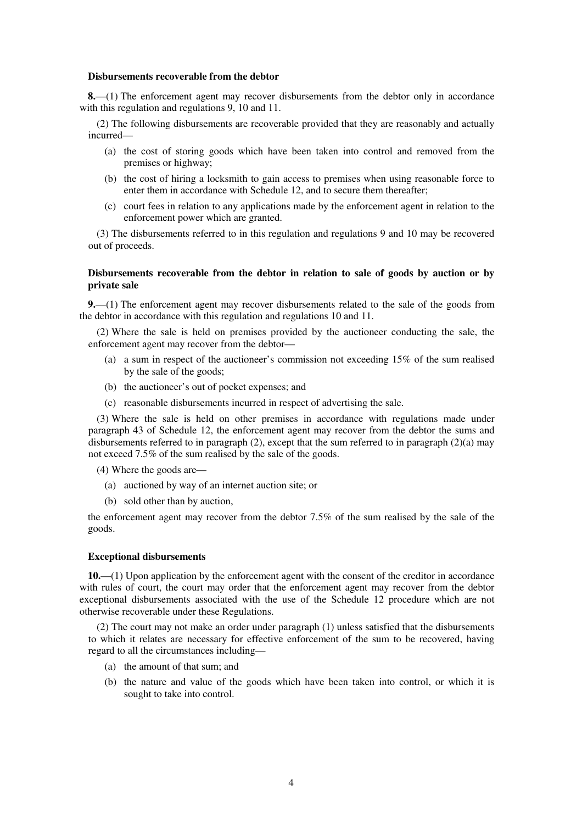#### **Disbursements recoverable from the debtor**

**8.**—(1) The enforcement agent may recover disbursements from the debtor only in accordance with this regulation and regulations 9, 10 and 11.

(2) The following disbursements are recoverable provided that they are reasonably and actually incurred—

- (a) the cost of storing goods which have been taken into control and removed from the premises or highway;
- (b) the cost of hiring a locksmith to gain access to premises when using reasonable force to enter them in accordance with Schedule 12, and to secure them thereafter;
- (c) court fees in relation to any applications made by the enforcement agent in relation to the enforcement power which are granted.

(3) The disbursements referred to in this regulation and regulations 9 and 10 may be recovered out of proceeds.

#### **Disbursements recoverable from the debtor in relation to sale of goods by auction or by private sale**

**9.**—(1) The enforcement agent may recover disbursements related to the sale of the goods from the debtor in accordance with this regulation and regulations 10 and 11.

(2) Where the sale is held on premises provided by the auctioneer conducting the sale, the enforcement agent may recover from the debtor—

- (a) a sum in respect of the auctioneer's commission not exceeding 15% of the sum realised by the sale of the goods;
- (b) the auctioneer's out of pocket expenses; and
- (c) reasonable disbursements incurred in respect of advertising the sale.

(3) Where the sale is held on other premises in accordance with regulations made under paragraph 43 of Schedule 12, the enforcement agent may recover from the debtor the sums and disbursements referred to in paragraph (2), except that the sum referred to in paragraph (2)(a) may not exceed 7.5% of the sum realised by the sale of the goods.

(4) Where the goods are—

- (a) auctioned by way of an internet auction site; or
- (b) sold other than by auction,

the enforcement agent may recover from the debtor 7.5% of the sum realised by the sale of the goods.

#### **Exceptional disbursements**

**10.**—(1) Upon application by the enforcement agent with the consent of the creditor in accordance with rules of court, the court may order that the enforcement agent may recover from the debtor exceptional disbursements associated with the use of the Schedule 12 procedure which are not otherwise recoverable under these Regulations.

(2) The court may not make an order under paragraph (1) unless satisfied that the disbursements to which it relates are necessary for effective enforcement of the sum to be recovered, having regard to all the circumstances including—

- (a) the amount of that sum; and
- (b) the nature and value of the goods which have been taken into control, or which it is sought to take into control.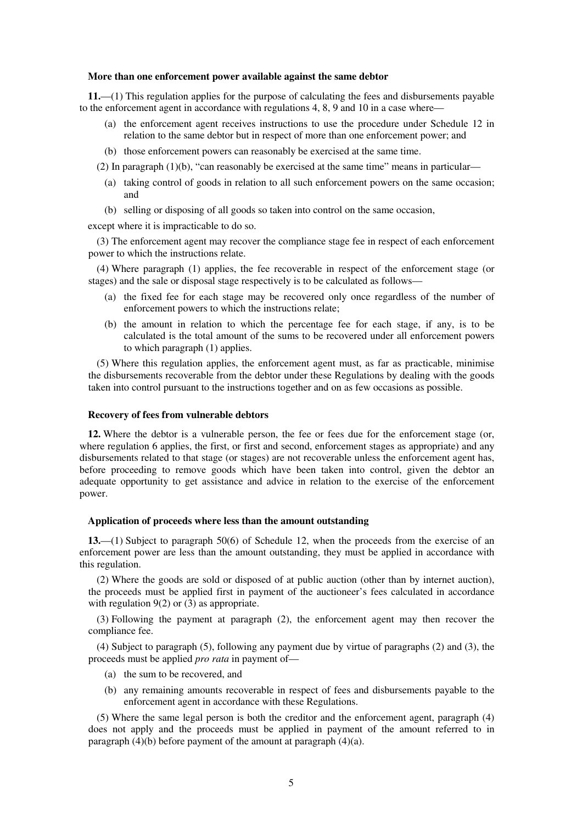#### **More than one enforcement power available against the same debtor**

**11.**—(1) This regulation applies for the purpose of calculating the fees and disbursements payable to the enforcement agent in accordance with regulations 4, 8, 9 and 10 in a case where-

- (a) the enforcement agent receives instructions to use the procedure under Schedule 12 in relation to the same debtor but in respect of more than one enforcement power; and
- (b) those enforcement powers can reasonably be exercised at the same time.
- (2) In paragraph  $(1)(b)$ , "can reasonably be exercised at the same time" means in particular—
	- (a) taking control of goods in relation to all such enforcement powers on the same occasion; and
	- (b) selling or disposing of all goods so taken into control on the same occasion,

except where it is impracticable to do so.

(3) The enforcement agent may recover the compliance stage fee in respect of each enforcement power to which the instructions relate.

(4) Where paragraph (1) applies, the fee recoverable in respect of the enforcement stage (or stages) and the sale or disposal stage respectively is to be calculated as follows—

- (a) the fixed fee for each stage may be recovered only once regardless of the number of enforcement powers to which the instructions relate;
- (b) the amount in relation to which the percentage fee for each stage, if any, is to be calculated is the total amount of the sums to be recovered under all enforcement powers to which paragraph (1) applies.

(5) Where this regulation applies, the enforcement agent must, as far as practicable, minimise the disbursements recoverable from the debtor under these Regulations by dealing with the goods taken into control pursuant to the instructions together and on as few occasions as possible.

#### **Recovery of fees from vulnerable debtors**

**12.** Where the debtor is a vulnerable person, the fee or fees due for the enforcement stage (or, where regulation 6 applies, the first, or first and second, enforcement stages as appropriate) and any disbursements related to that stage (or stages) are not recoverable unless the enforcement agent has, before proceeding to remove goods which have been taken into control, given the debtor an adequate opportunity to get assistance and advice in relation to the exercise of the enforcement power.

#### **Application of proceeds where less than the amount outstanding**

**13.**—(1) Subject to paragraph 50(6) of Schedule 12, when the proceeds from the exercise of an enforcement power are less than the amount outstanding, they must be applied in accordance with this regulation.

(2) Where the goods are sold or disposed of at public auction (other than by internet auction), the proceeds must be applied first in payment of the auctioneer's fees calculated in accordance with regulation 9(2) or (3) as appropriate.

(3) Following the payment at paragraph (2), the enforcement agent may then recover the compliance fee.

(4) Subject to paragraph (5), following any payment due by virtue of paragraphs (2) and (3), the proceeds must be applied *pro rata* in payment of—

- (a) the sum to be recovered, and
- (b) any remaining amounts recoverable in respect of fees and disbursements payable to the enforcement agent in accordance with these Regulations.

(5) Where the same legal person is both the creditor and the enforcement agent, paragraph (4) does not apply and the proceeds must be applied in payment of the amount referred to in paragraph (4)(b) before payment of the amount at paragraph (4)(a).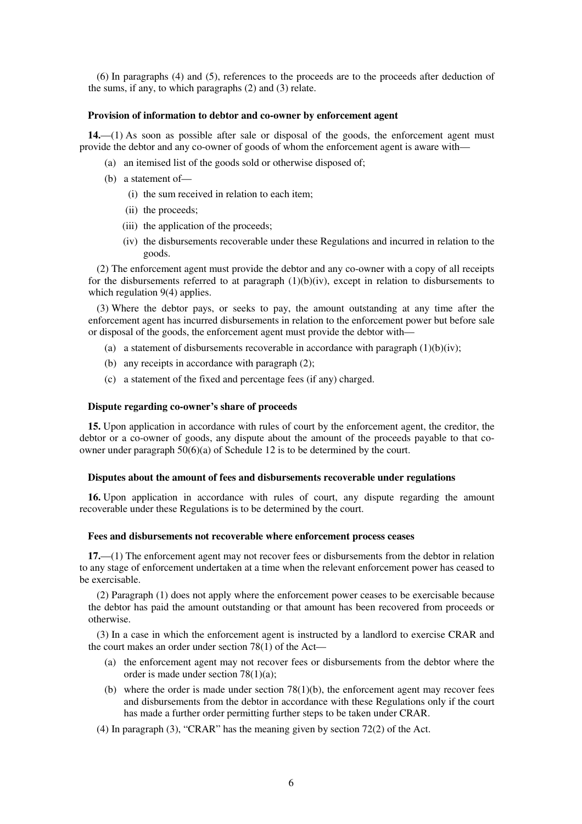(6) In paragraphs (4) and (5), references to the proceeds are to the proceeds after deduction of the sums, if any, to which paragraphs (2) and (3) relate.

#### **Provision of information to debtor and co-owner by enforcement agent**

**14.**—(1) As soon as possible after sale or disposal of the goods, the enforcement agent must provide the debtor and any co-owner of goods of whom the enforcement agent is aware with—

- (a) an itemised list of the goods sold or otherwise disposed of;
- (b) a statement of—
	- (i) the sum received in relation to each item;
	- (ii) the proceeds;
	- (iii) the application of the proceeds;
	- (iv) the disbursements recoverable under these Regulations and incurred in relation to the goods.

(2) The enforcement agent must provide the debtor and any co-owner with a copy of all receipts for the disbursements referred to at paragraph  $(1)(b)(iv)$ , except in relation to disbursements to which regulation 9(4) applies.

(3) Where the debtor pays, or seeks to pay, the amount outstanding at any time after the enforcement agent has incurred disbursements in relation to the enforcement power but before sale or disposal of the goods, the enforcement agent must provide the debtor with—

- (a) a statement of disbursements recoverable in accordance with paragraph  $(1)(b)(iv)$ ;
- (b) any receipts in accordance with paragraph (2);
- (c) a statement of the fixed and percentage fees (if any) charged.

#### **Dispute regarding co-owner's share of proceeds**

**15.** Upon application in accordance with rules of court by the enforcement agent, the creditor, the debtor or a co-owner of goods, any dispute about the amount of the proceeds payable to that coowner under paragraph 50(6)(a) of Schedule 12 is to be determined by the court.

#### **Disputes about the amount of fees and disbursements recoverable under regulations**

**16.** Upon application in accordance with rules of court, any dispute regarding the amount recoverable under these Regulations is to be determined by the court.

#### **Fees and disbursements not recoverable where enforcement process ceases**

**17.**—(1) The enforcement agent may not recover fees or disbursements from the debtor in relation to any stage of enforcement undertaken at a time when the relevant enforcement power has ceased to be exercisable.

(2) Paragraph (1) does not apply where the enforcement power ceases to be exercisable because the debtor has paid the amount outstanding or that amount has been recovered from proceeds or otherwise.

(3) In a case in which the enforcement agent is instructed by a landlord to exercise CRAR and the court makes an order under section 78(1) of the Act—

- (a) the enforcement agent may not recover fees or disbursements from the debtor where the order is made under section 78(1)(a);
- (b) where the order is made under section  $78(1)(b)$ , the enforcement agent may recover fees and disbursements from the debtor in accordance with these Regulations only if the court has made a further order permitting further steps to be taken under CRAR.
- (4) In paragraph (3), "CRAR" has the meaning given by section 72(2) of the Act.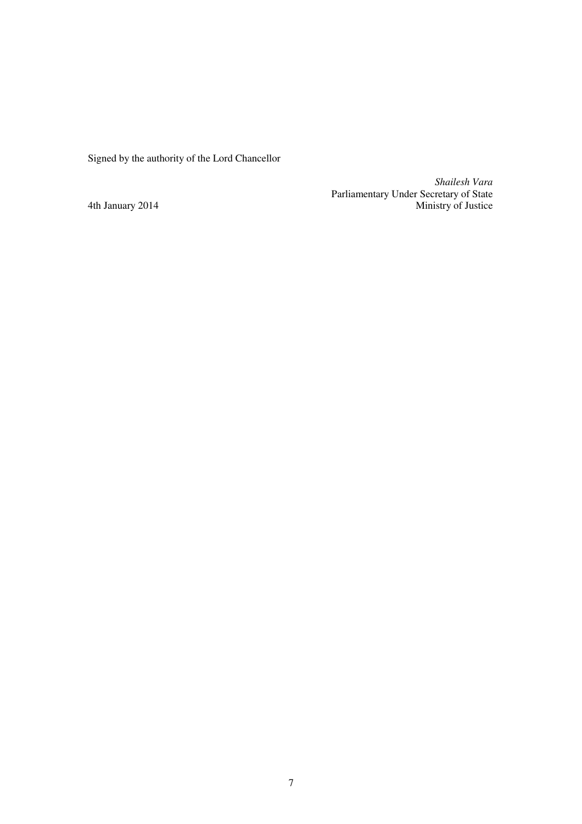Signed by the authority of the Lord Chancellor

*Shailesh Vara*  Parliamentary Under Secretary of State 4th January 2014 Ministry of Justice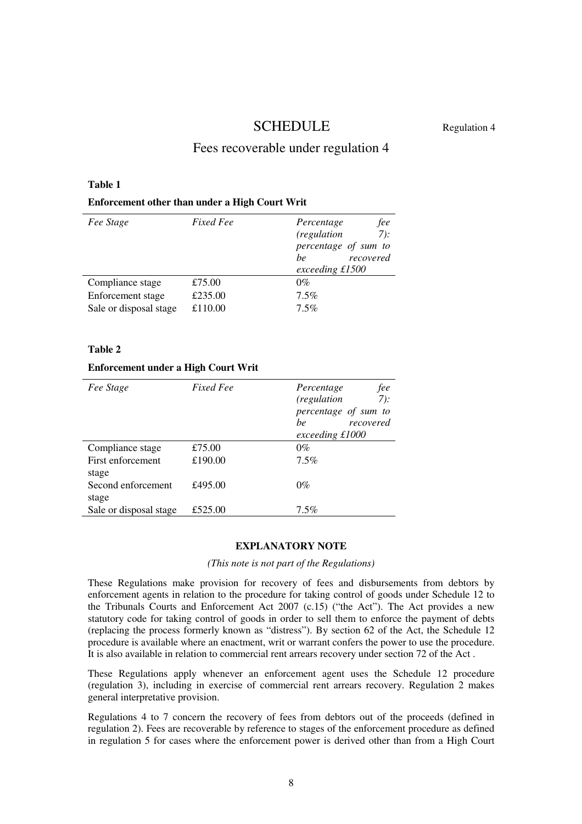# SCHEDULE Regulation 4

## Fees recoverable under regulation 4

#### **Table 1**

#### **Enforcement other than under a High Court Writ**

| Fee Stage              | <i>Fixed Fee</i> | fee<br>Percentage<br>7):<br>(regulation<br>percentage of sum to<br>recovered<br>be<br>exceeding £1500 |
|------------------------|------------------|-------------------------------------------------------------------------------------------------------|
| Compliance stage       | £75.00           | $0\%$                                                                                                 |
| Enforcement stage      | £235.00          | $7.5\%$                                                                                               |
| Sale or disposal stage | £110.00          | $7.5\%$                                                                                               |

#### **Table 2**

#### **Enforcement under a High Court Writ**

| Fee Stage                   | Fixed Fee | fee<br>Percentage<br>7):<br>(regulation<br>percentage of sum to<br>recovered<br><sub>be</sub><br>exceeding £1000 |
|-----------------------------|-----------|------------------------------------------------------------------------------------------------------------------|
| Compliance stage            | £75.00    | $0\%$                                                                                                            |
| First enforcement<br>stage  | £190.00   | $7.5\%$                                                                                                          |
| Second enforcement<br>stage | £495.00   | $0\%$                                                                                                            |
| Sale or disposal stage      | £525.00   | $7.5\%$                                                                                                          |

#### **EXPLANATORY NOTE**

*(This note is not part of the Regulations)* 

These Regulations make provision for recovery of fees and disbursements from debtors by enforcement agents in relation to the procedure for taking control of goods under Schedule 12 to the Tribunals Courts and Enforcement Act 2007 (c.15) ("the Act"). The Act provides a new statutory code for taking control of goods in order to sell them to enforce the payment of debts (replacing the process formerly known as "distress"). By section 62 of the Act, the Schedule 12 procedure is available where an enactment, writ or warrant confers the power to use the procedure. It is also available in relation to commercial rent arrears recovery under section 72 of the Act .

These Regulations apply whenever an enforcement agent uses the Schedule 12 procedure (regulation 3), including in exercise of commercial rent arrears recovery. Regulation 2 makes general interpretative provision.

Regulations 4 to 7 concern the recovery of fees from debtors out of the proceeds (defined in regulation 2). Fees are recoverable by reference to stages of the enforcement procedure as defined in regulation 5 for cases where the enforcement power is derived other than from a High Court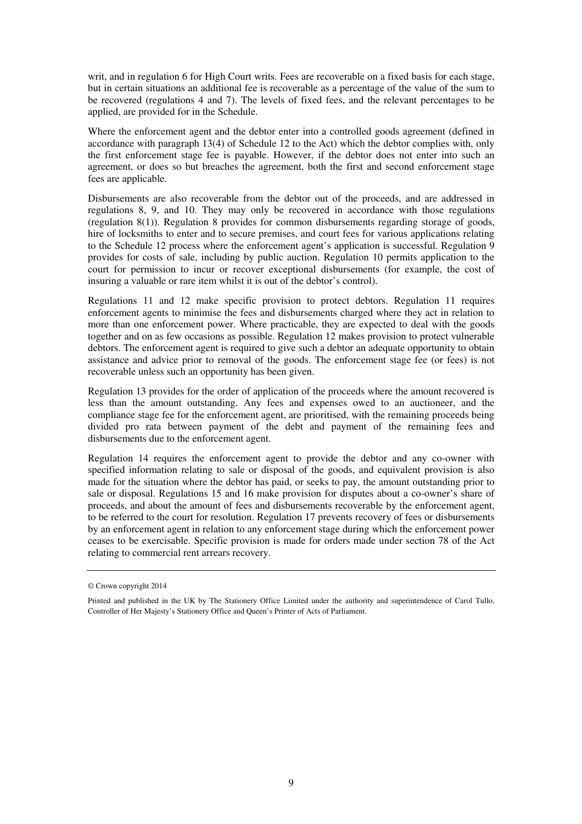writ, and in regulation 6 for High Court writs. Fees are recoverable on a fixed basis for each stage, but in certain situations an additional fee is recoverable as a percentage of the value of the sum to be recovered (regulations 4 and 7). The levels of fixed fees, and the relevant percentages to be applied, are provided for in the Schedule.

Where the enforcement agent and the debtor enter into a controlled goods agreement (defined in accordance with paragraph 13(4) of Schedule 12 to the Act) which the debtor complies with, only the first enforcement stage fee is payable. However, if the debtor does not enter into such an agreement, or does so but breaches the agreement, both the first and second enforcement stage fees are applicable.

Disbursements are also recoverable from the debtor out of the proceeds, and are addressed in regulations 8, 9, and 10. They may only be recovered in accordance with those regulations (regulation 8(1)). Regulation 8 provides for common disbursements regarding storage of goods, hire of locksmiths to enter and to secure premises, and court fees for various applications relating to the Schedule 12 process where the enforcement agent's application is successful. Regulation 9 provides for costs of sale, including by public auction. Regulation 10 permits application to the court for permission to incur or recover exceptional disbursements (for example, the cost of insuring a valuable or rare item whilst it is out of the debtor's control).

Regulations 11 and 12 make specific provision to protect debtors. Regulation 11 requires enforcement agents to minimise the fees and disbursements charged where they act in relation to more than one enforcement power. Where practicable, they are expected to deal with the goods together and on as few occasions as possible. Regulation 12 makes provision to protect vulnerable debtors. The enforcement agent is required to give such a debtor an adequate opportunity to obtain assistance and advice prior to removal of the goods. The enforcement stage fee (or fees) is not recoverable unless such an opportunity has been given.

Regulation 13 provides for the order of application of the proceeds where the amount recovered is less than the amount outstanding. Any fees and expenses owed to an auctioneer, and the compliance stage fee for the enforcement agent, are prioritised, with the remaining proceeds being divided pro rata between payment of the debt and payment of the remaining fees and disbursements due to the enforcement agent.

Regulation 14 requires the enforcement agent to provide the debtor and any co-owner with specified information relating to sale or disposal of the goods, and equivalent provision is also made for the situation where the debtor has paid, or seeks to pay, the amount outstanding prior to sale or disposal. Regulations 15 and 16 make provision for disputes about a co-owner's share of proceeds, and about the amount of fees and disbursements recoverable by the enforcement agent, to be referred to the court for resolution. Regulation 17 prevents recovery of fees or disbursements by an enforcement agent in relation to any enforcement stage during which the enforcement power ceases to be exercisable. Specific provision is made for orders made under section 78 of the Act relating to commercial rent arrears recovery.

<sup>©</sup> Crown copyright 2014

Printed and published in the UK by The Stationery Office Limited under the authority and superintendence of Carol Tullo, Controller of Her Majesty's Stationery Office and Queen's Printer of Acts of Parliament.